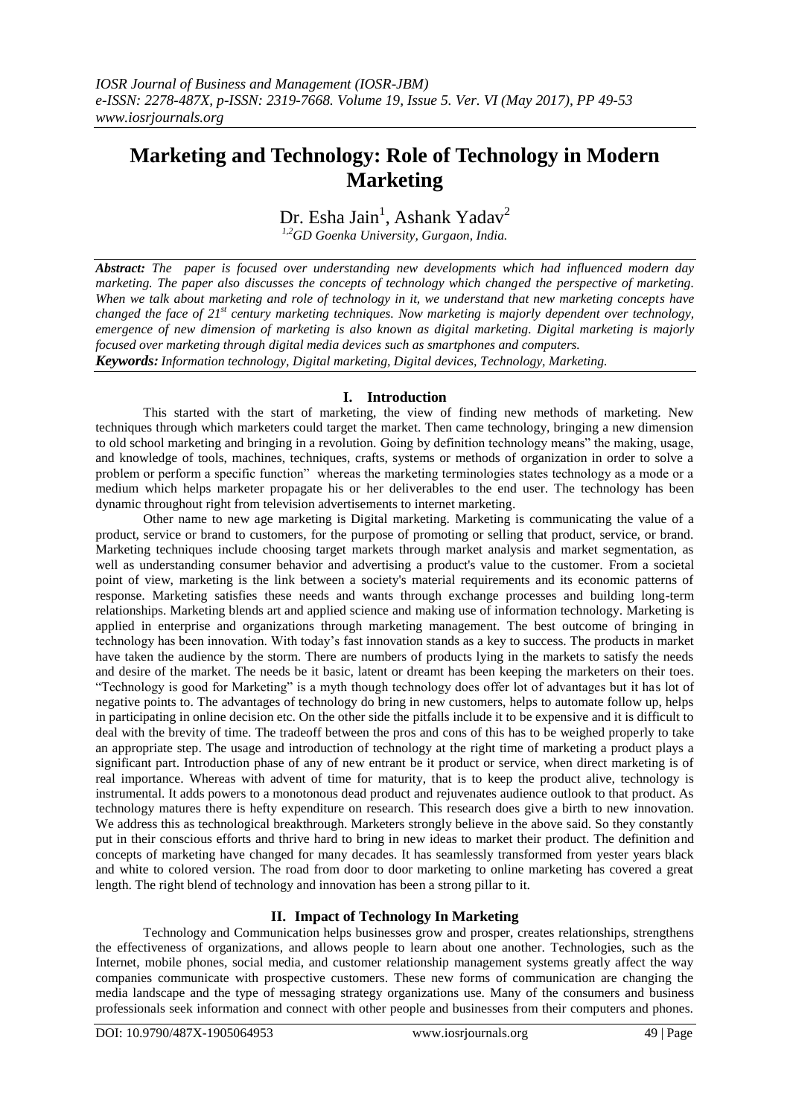# **Marketing and Technology: Role of Technology in Modern Marketing**

Dr. Esha Jain<sup>1</sup>, Ashank Yadav<sup>2</sup>

*1,2GD Goenka University, Gurgaon, India.*

*Abstract: The paper is focused over understanding new developments which had influenced modern day marketing. The paper also discusses the concepts of technology which changed the perspective of marketing. When we talk about marketing and role of technology in it, we understand that new marketing concepts have changed the face of 21st century marketing techniques. Now marketing is majorly dependent over technology, emergence of new dimension of marketing is also known as digital marketing. Digital marketing is majorly focused over marketing through digital media devices such as smartphones and computers.*

*Keywords: Information technology, Digital marketing, Digital devices, Technology, Marketing.*

# **I. Introduction**

This started with the start of marketing, the view of finding new methods of marketing. New techniques through which marketers could target the market. Then came technology, bringing a new dimension to old school marketing and bringing in a revolution. Going by definition technology means" the making, usage, and knowledge of tools, machines, techniques, crafts, systems or methods of organization in order to solve a problem or perform a specific function" whereas the marketing terminologies states technology as a mode or a medium which helps marketer propagate his or her deliverables to the end user. The technology has been dynamic throughout right from television advertisements to internet marketing.

Other name to new age marketing is Digital marketing. Marketing is communicating the value of a product, service or brand to customers, for the purpose of promoting or selling that product, service, or brand. Marketing techniques include choosing target markets through market analysis and market segmentation, as well as understanding consumer behavior and advertising a product's value to the customer. From a societal point of view, marketing is the link between a society's material requirements and its economic patterns of response. Marketing satisfies these needs and wants through exchange processes and building long-term relationships. Marketing blends art and applied science and making use of information technology. Marketing is applied in enterprise and organizations through marketing management. The best outcome of bringing in technology has been innovation. With today's fast innovation stands as a key to success. The products in market have taken the audience by the storm. There are numbers of products lying in the markets to satisfy the needs and desire of the market. The needs be it basic, latent or dreamt has been keeping the marketers on their toes. "Technology is good for Marketing" is a myth though technology does offer lot of advantages but it has lot of negative points to. The advantages of technology do bring in new customers, helps to automate follow up, helps in participating in online decision etc. On the other side the pitfalls include it to be expensive and it is difficult to deal with the brevity of time. The tradeoff between the pros and cons of this has to be weighed properly to take an appropriate step. The usage and introduction of technology at the right time of marketing a product plays a significant part. Introduction phase of any of new entrant be it product or service, when direct marketing is of real importance. Whereas with advent of time for maturity, that is to keep the product alive, technology is instrumental. It adds powers to a monotonous dead product and rejuvenates audience outlook to that product. As technology matures there is hefty expenditure on research. This research does give a birth to new innovation. We address this as technological breakthrough. Marketers strongly believe in the above said. So they constantly put in their conscious efforts and thrive hard to bring in new ideas to market their product. The definition and concepts of marketing have changed for many decades. It has seamlessly transformed from yester years black and white to colored version. The road from door to door marketing to online marketing has covered a great length. The right blend of technology and innovation has been a strong pillar to it.

# **II. Impact of Technology In Marketing**

Technology and Communication helps businesses grow and prosper, creates relationships, strengthens the effectiveness of organizations, and allows people to learn about one another. Technologies, such as the Internet, mobile phones, social media, and customer relationship management systems greatly affect the way companies communicate with prospective customers. These new forms of communication are changing the media landscape and the type of messaging strategy organizations use. Many of the consumers and business professionals seek information and connect with other people and businesses from their computers and phones.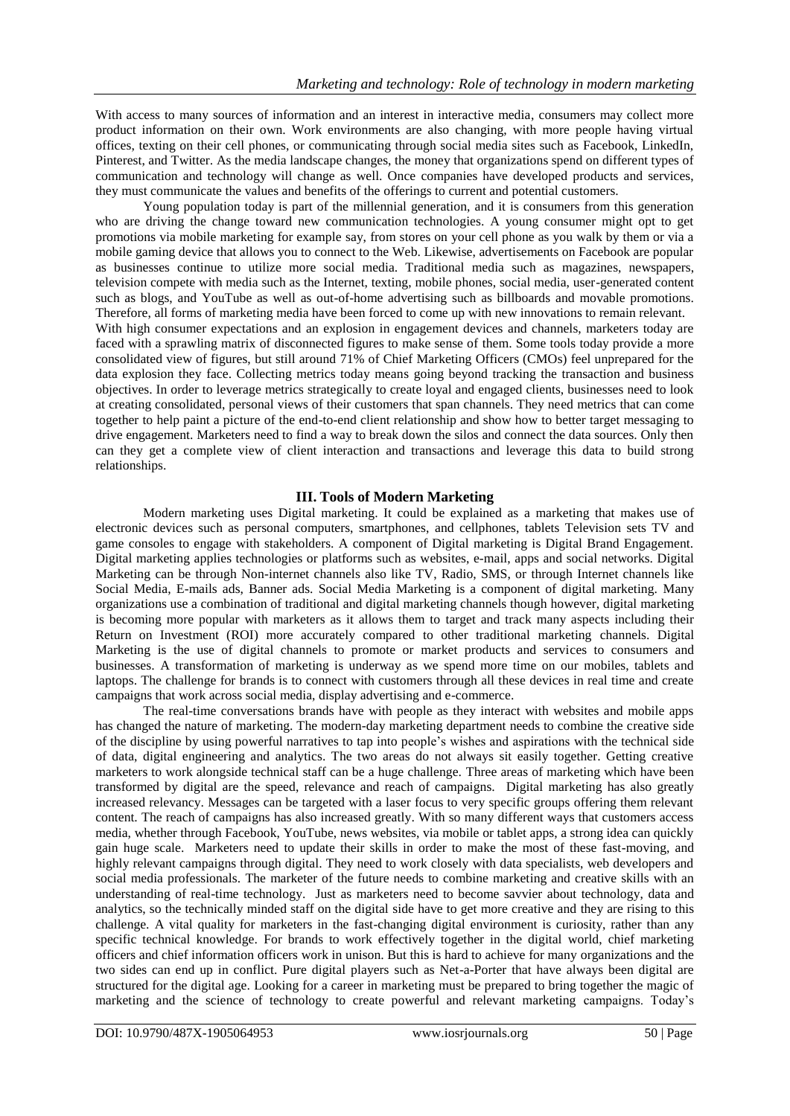With access to many sources of information and an interest in interactive media, consumers may collect more product information on their own. Work environments are also changing, with more people having virtual offices, texting on their cell phones, or communicating through social media sites such as Facebook, LinkedIn, Pinterest, and Twitter. As the media landscape changes, the money that organizations spend on different types of communication and technology will change as well. Once companies have developed products and services, they must communicate the values and benefits of the offerings to current and potential customers.

Young population today is part of the millennial generation, and it is consumers from this generation who are driving the change toward new communication technologies. A young consumer might opt to get promotions via mobile marketing for example say, from stores on your cell phone as you walk by them or via a mobile gaming device that allows you to connect to the Web. Likewise, advertisements on Facebook are popular as businesses continue to utilize more social media. Traditional media such as magazines, newspapers, television compete with media such as the Internet, texting, mobile phones, social media, user-generated content such as blogs, and YouTube as well as out-of-home advertising such as billboards and movable promotions. Therefore, all forms of marketing media have been forced to come up with new innovations to remain relevant. With high consumer expectations and an explosion in engagement devices and channels, marketers today are

faced with a sprawling matrix of disconnected figures to make sense of them. Some tools today provide a more consolidated view of figures, but still around 71% of Chief Marketing Officers (CMOs) feel unprepared for the data explosion they face. Collecting metrics today means going beyond tracking the transaction and business objectives. In order to leverage metrics strategically to create loyal and engaged clients, businesses need to look at creating consolidated, personal views of their customers that span channels. They need metrics that can come together to help paint a picture of the end-to-end client relationship and show how to better target messaging to drive engagement. Marketers need to find a way to break down the silos and connect the data sources. Only then can they get a complete view of client interaction and transactions and leverage this data to build strong relationships.

## **III. Tools of Modern Marketing**

Modern marketing uses Digital marketing. It could be explained as a marketing that makes use of electronic devices such as personal computers, smartphones, and cellphones, tablets Television sets TV and game consoles to engage with stakeholders. A component of Digital marketing is Digital Brand Engagement. Digital marketing applies technologies or platforms such as websites, e-mail, apps and social networks. Digital Marketing can be through Non-internet channels also like TV, Radio, SMS, or through Internet channels like Social Media, E-mails ads, Banner ads. Social Media Marketing is a component of digital marketing. Many organizations use a combination of traditional and digital marketing channels though however, digital marketing is becoming more popular with marketers as it allows them to target and track many aspects including their Return on Investment (ROI) more accurately compared to other traditional marketing channels. Digital Marketing is the use of digital channels to promote or market products and services to consumers and businesses. A transformation of marketing is underway as we spend more time on our mobiles, tablets and laptops. The challenge for brands is to connect with customers through all these devices in real time and create campaigns that work across social media, display advertising and e-commerce.

The real-time conversations brands have with people as they interact with websites and mobile apps has changed the nature of marketing. The modern-day marketing department needs to combine the creative side of the discipline by using powerful narratives to tap into people's wishes and aspirations with the technical side of data, digital engineering and analytics. The two areas do not always sit easily together. Getting creative marketers to work alongside technical staff can be a huge challenge. Three areas of marketing which have been transformed by digital are the speed, relevance and reach of campaigns. Digital marketing has also greatly increased relevancy. Messages can be targeted with a laser focus to very specific groups offering them relevant content. The reach of campaigns has also increased greatly. With so many different ways that customers access media, whether through Facebook, YouTube, news websites, via mobile or tablet apps, a strong idea can quickly gain huge scale. Marketers need to update their skills in order to make the most of these fast-moving, and highly relevant campaigns through digital. They need to work closely with data specialists, web developers and social media professionals. The marketer of the future needs to combine marketing and creative skills with an understanding of real-time technology. Just as marketers need to become savvier about technology, data and analytics, so the technically minded staff on the digital side have to get more creative and they are rising to this challenge. A vital quality for marketers in the fast-changing digital environment is curiosity, rather than any specific technical knowledge. For brands to work effectively together in the digital world, chief marketing officers and chief information officers work in unison. But this is hard to achieve for many organizations and the two sides can end up in conflict. Pure digital players such as Net-a-Porter that have always been digital are structured for the digital age. Looking for a career in marketing must be prepared to bring together the magic of marketing and the science of technology to create powerful and relevant marketing campaigns. Today's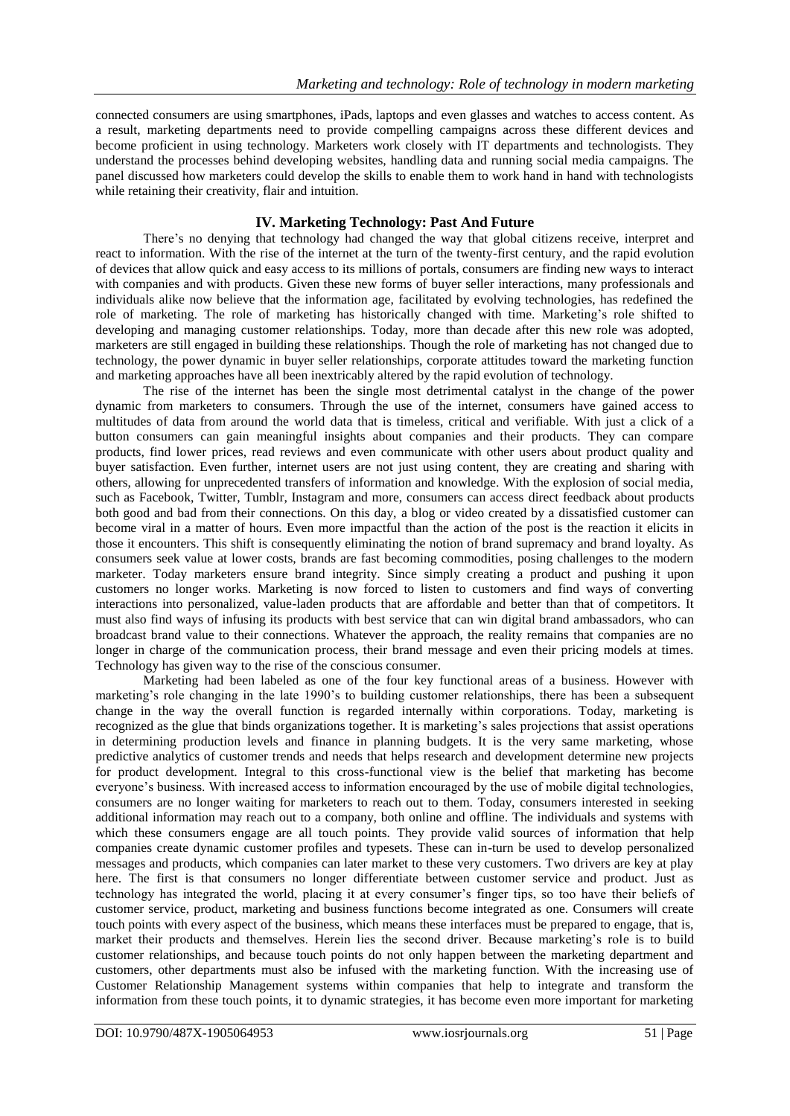connected consumers are using smartphones, iPads, laptops and even glasses and watches to access content. As a result, marketing departments need to provide compelling campaigns across these different devices and become proficient in using technology. Marketers work closely with IT departments and technologists. They understand the processes behind developing websites, handling data and running social media campaigns. The panel discussed how marketers could develop the skills to enable them to work hand in hand with technologists while retaining their creativity, flair and intuition.

# **IV. Marketing Technology: Past And Future**

There's no denying that technology had changed the way that global citizens receive, interpret and react to information. With the rise of the internet at the turn of the twenty-first century, and the rapid evolution of devices that allow quick and easy access to its millions of portals, consumers are finding new ways to interact with companies and with products. Given these new forms of buyer seller interactions, many professionals and individuals alike now believe that the information age, facilitated by evolving technologies, has redefined the role of marketing. The role of marketing has historically changed with time. Marketing's role shifted to developing and managing customer relationships. Today, more than decade after this new role was adopted, marketers are still engaged in building these relationships. Though the role of marketing has not changed due to technology, the power dynamic in buyer seller relationships, corporate attitudes toward the marketing function and marketing approaches have all been inextricably altered by the rapid evolution of technology.

The rise of the internet has been the single most detrimental catalyst in the change of the power dynamic from marketers to consumers. Through the use of the internet, consumers have gained access to multitudes of data from around the world data that is timeless, critical and verifiable. With just a click of a button consumers can gain meaningful insights about companies and their products. They can compare products, find lower prices, read reviews and even communicate with other users about product quality and buyer satisfaction. Even further, internet users are not just using content, they are creating and sharing with others, allowing for unprecedented transfers of information and knowledge. With the explosion of social media, such as Facebook, Twitter, Tumblr, Instagram and more, consumers can access direct feedback about products both good and bad from their connections. On this day, a blog or video created by a dissatisfied customer can become viral in a matter of hours. Even more impactful than the action of the post is the reaction it elicits in those it encounters. This shift is consequently eliminating the notion of brand supremacy and brand loyalty. As consumers seek value at lower costs, brands are fast becoming commodities, posing challenges to the modern marketer. Today marketers ensure brand integrity. Since simply creating a product and pushing it upon customers no longer works. Marketing is now forced to listen to customers and find ways of converting interactions into personalized, value-laden products that are affordable and better than that of competitors. It must also find ways of infusing its products with best service that can win digital brand ambassadors, who can broadcast brand value to their connections. Whatever the approach, the reality remains that companies are no longer in charge of the communication process, their brand message and even their pricing models at times. Technology has given way to the rise of the conscious consumer.

Marketing had been labeled as one of the four key functional areas of a business. However with marketing's role changing in the late 1990's to building customer relationships, there has been a subsequent change in the way the overall function is regarded internally within corporations. Today, marketing is recognized as the glue that binds organizations together. It is marketing's sales projections that assist operations in determining production levels and finance in planning budgets. It is the very same marketing, whose predictive analytics of customer trends and needs that helps research and development determine new projects for product development. Integral to this cross-functional view is the belief that marketing has become everyone's business. With increased access to information encouraged by the use of mobile digital technologies, consumers are no longer waiting for marketers to reach out to them. Today, consumers interested in seeking additional information may reach out to a company, both online and offline. The individuals and systems with which these consumers engage are all touch points. They provide valid sources of information that help companies create dynamic customer profiles and typesets. These can in-turn be used to develop personalized messages and products, which companies can later market to these very customers. Two drivers are key at play here. The first is that consumers no longer differentiate between customer service and product. Just as technology has integrated the world, placing it at every consumer's finger tips, so too have their beliefs of customer service, product, marketing and business functions become integrated as one. Consumers will create touch points with every aspect of the business, which means these interfaces must be prepared to engage, that is, market their products and themselves. Herein lies the second driver. Because marketing's role is to build customer relationships, and because touch points do not only happen between the marketing department and customers, other departments must also be infused with the marketing function. With the increasing use of Customer Relationship Management systems within companies that help to integrate and transform the information from these touch points, it to dynamic strategies, it has become even more important for marketing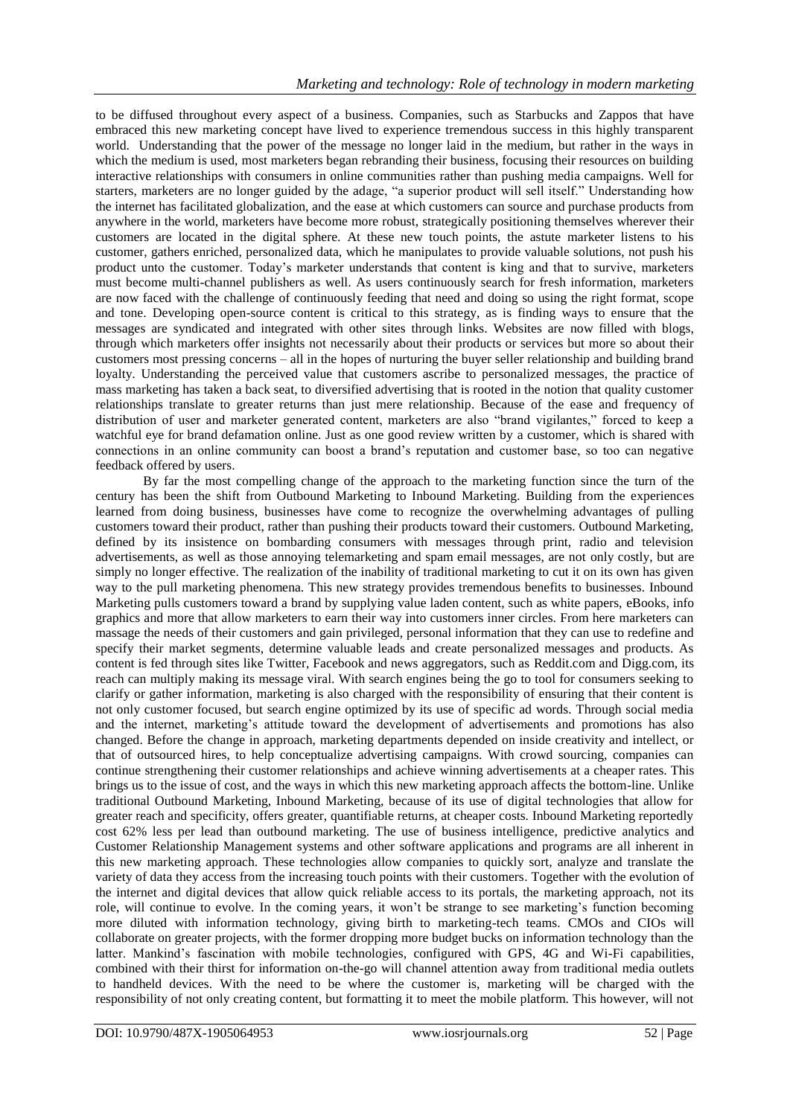to be diffused throughout every aspect of a business. Companies, such as Starbucks and Zappos that have embraced this new marketing concept have lived to experience tremendous success in this highly transparent world. Understanding that the power of the message no longer laid in the medium, but rather in the ways in which the medium is used, most marketers began rebranding their business, focusing their resources on building interactive relationships with consumers in online communities rather than pushing media campaigns. Well for starters, marketers are no longer guided by the adage, "a superior product will sell itself." Understanding how the internet has facilitated globalization, and the ease at which customers can source and purchase products from anywhere in the world, marketers have become more robust, strategically positioning themselves wherever their customers are located in the digital sphere. At these new touch points, the astute marketer listens to his customer, gathers enriched, personalized data, which he manipulates to provide valuable solutions, not push his product unto the customer. Today's marketer understands that content is king and that to survive, marketers must become multi-channel publishers as well. As users continuously search for fresh information, marketers are now faced with the challenge of continuously feeding that need and doing so using the right format, scope and tone. Developing open-source content is critical to this strategy, as is finding ways to ensure that the messages are syndicated and integrated with other sites through links. Websites are now filled with blogs, through which marketers offer insights not necessarily about their products or services but more so about their customers most pressing concerns – all in the hopes of nurturing the buyer seller relationship and building brand loyalty. Understanding the perceived value that customers ascribe to personalized messages, the practice of mass marketing has taken a back seat, to diversified advertising that is rooted in the notion that quality customer relationships translate to greater returns than just mere relationship. Because of the ease and frequency of distribution of user and marketer generated content, marketers are also "brand vigilantes," forced to keep a watchful eye for brand defamation online. Just as one good review written by a customer, which is shared with connections in an online community can boost a brand's reputation and customer base, so too can negative feedback offered by users.

By far the most compelling change of the approach to the marketing function since the turn of the century has been the shift from Outbound Marketing to Inbound Marketing. Building from the experiences learned from doing business, businesses have come to recognize the overwhelming advantages of pulling customers toward their product, rather than pushing their products toward their customers. Outbound Marketing, defined by its insistence on bombarding consumers with messages through print, radio and television advertisements, as well as those annoying telemarketing and spam email messages, are not only costly, but are simply no longer effective. The realization of the inability of traditional marketing to cut it on its own has given way to the pull marketing phenomena. This new strategy provides tremendous benefits to businesses. Inbound Marketing pulls customers toward a brand by supplying value laden content, such as white papers, eBooks, info graphics and more that allow marketers to earn their way into customers inner circles. From here marketers can massage the needs of their customers and gain privileged, personal information that they can use to redefine and specify their market segments, determine valuable leads and create personalized messages and products. As content is fed through sites like Twitter, Facebook and news aggregators, such as Reddit.com and Digg.com, its reach can multiply making its message viral. With search engines being the go to tool for consumers seeking to clarify or gather information, marketing is also charged with the responsibility of ensuring that their content is not only customer focused, but search engine optimized by its use of specific ad words. Through social media and the internet, marketing's attitude toward the development of advertisements and promotions has also changed. Before the change in approach, marketing departments depended on inside creativity and intellect, or that of outsourced hires, to help conceptualize advertising campaigns. With crowd sourcing, companies can continue strengthening their customer relationships and achieve winning advertisements at a cheaper rates. This brings us to the issue of cost, and the ways in which this new marketing approach affects the bottom-line. Unlike traditional Outbound Marketing, Inbound Marketing, because of its use of digital technologies that allow for greater reach and specificity, offers greater, quantifiable returns, at cheaper costs. Inbound Marketing reportedly cost 62% less per lead than outbound marketing. The use of business intelligence, predictive analytics and Customer Relationship Management systems and other software applications and programs are all inherent in this new marketing approach. These technologies allow companies to quickly sort, analyze and translate the variety of data they access from the increasing touch points with their customers. Together with the evolution of the internet and digital devices that allow quick reliable access to its portals, the marketing approach, not its role, will continue to evolve. In the coming years, it won't be strange to see marketing's function becoming more diluted with information technology, giving birth to marketing-tech teams. CMOs and CIOs will collaborate on greater projects, with the former dropping more budget bucks on information technology than the latter. Mankind's fascination with mobile technologies, configured with GPS, 4G and Wi-Fi capabilities, combined with their thirst for information on-the-go will channel attention away from traditional media outlets to handheld devices. With the need to be where the customer is, marketing will be charged with the responsibility of not only creating content, but formatting it to meet the mobile platform. This however, will not